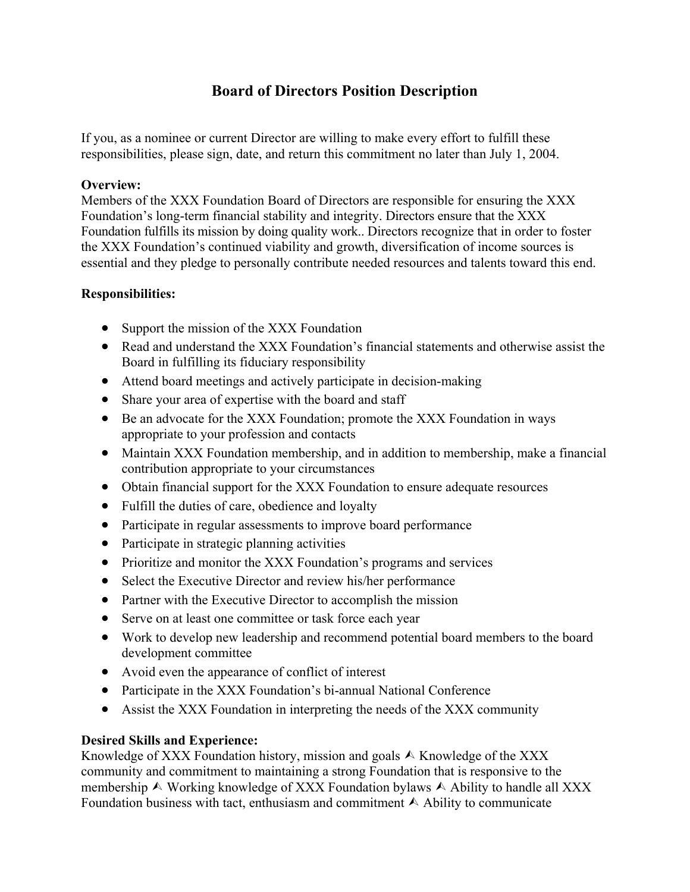# **Board of Directors Position Description**

If you, as a nominee or current Director are willing to make every effort to fulfill these responsibilities, please sign, date, and return this commitment no later than July 1, 2004.

# **Overview:**

Members of the XXX Foundation Board of Directors are responsible for ensuring the XXX Foundation's long-term financial stability and integrity. Directors ensure that the XXX Foundation fulfills its mission by doing quality work.. Directors recognize that in order to foster the XXX Foundation's continued viability and growth, diversification of income sources is essential and they pledge to personally contribute needed resources and talents toward this end.

# **Responsibilities:**

- Support the mission of the XXX Foundation
- Read and understand the XXX Foundation's financial statements and otherwise assist the Board in fulfilling its fiduciary responsibility
- Attend board meetings and actively participate in decision-making
- Share your area of expertise with the board and staff
- Be an advocate for the XXX Foundation; promote the XXX Foundation in ways appropriate to your profession and contacts
- Maintain XXX Foundation membership, and in addition to membership, make a financial contribution appropriate to your circumstances
- Obtain financial support for the XXX Foundation to ensure adequate resources
- Fulfill the duties of care, obedience and loyalty
- Participate in regular assessments to improve board performance
- Participate in strategic planning activities
- Prioritize and monitor the XXX Foundation's programs and services
- Select the Executive Director and review his/her performance
- Partner with the Executive Director to accomplish the mission
- Serve on at least one committee or task force each year
- Work to develop new leadership and recommend potential board members to the board development committee
- Avoid even the appearance of conflict of interest
- Participate in the XXX Foundation's bi-annual National Conference
- Assist the XXX Foundation in interpreting the needs of the XXX community

# **Desired Skills and Experience:**

Knowledge of XXX Foundation history, mission and goals  $\triangle$  Knowledge of the XXX community and commitment to maintaining a strong Foundation that is responsive to the membership  $\land$  Working knowledge of XXX Foundation bylaws  $\land$  Ability to handle all XXX Foundation business with tact, enthusiasm and commitment  $\wedge$  Ability to communicate